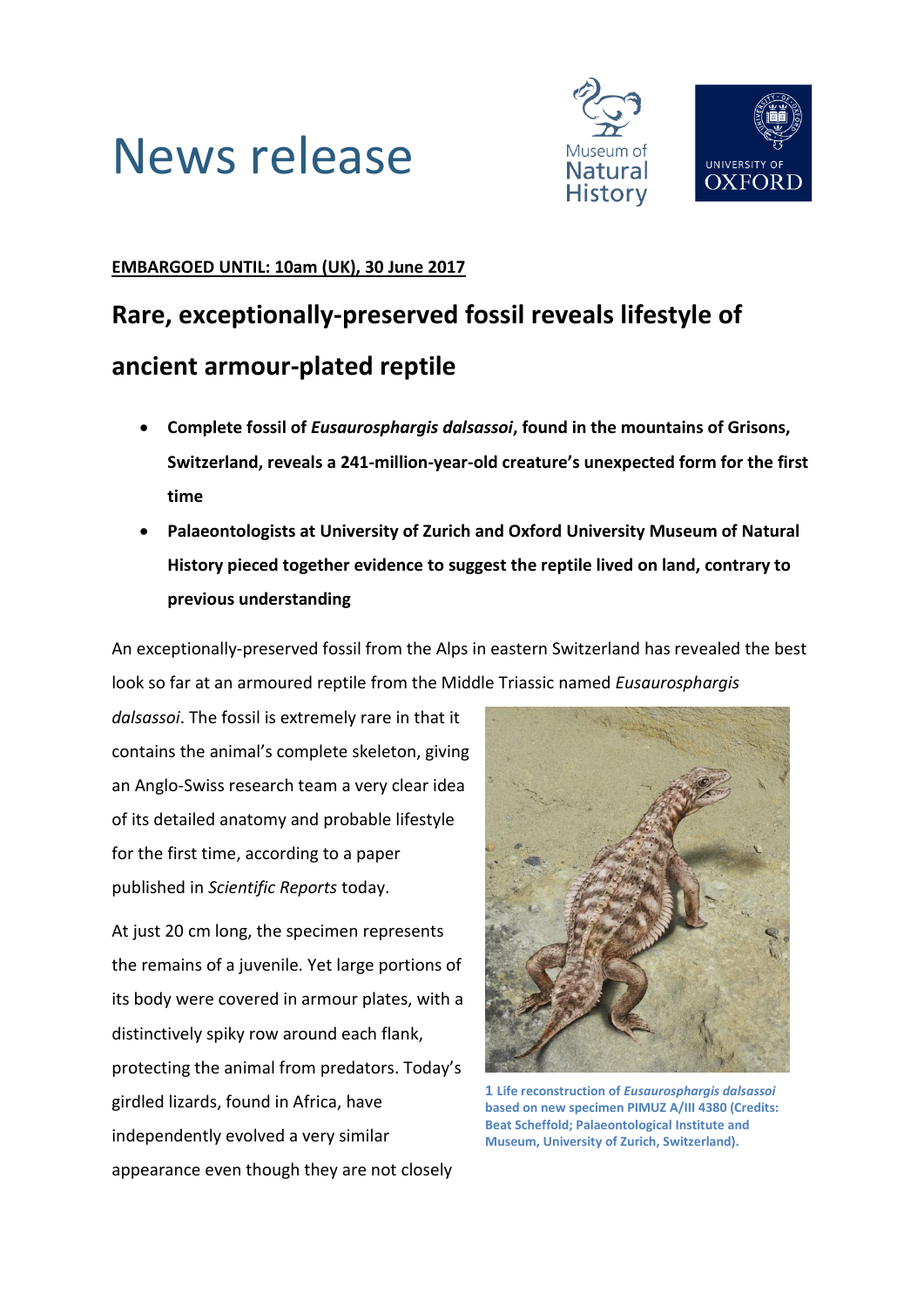



### **EMBARGOED UNTIL: 10am (UK), 30 June 2017**

## **Rare, exceptionally-preserved fossil reveals lifestyle of ancient armour-plated reptile**

- **Complete fossil of** *Eusaurosphargis dalsassoi***, found in the mountains of Grisons, Switzerland, reveals a 241-million-year-old creature's unexpected form for the first time**
- **Palaeontologists at University of Zurich and Oxford University Museum of Natural History pieced together evidence to suggest the reptile lived on land, contrary to previous understanding**

An exceptionally-preserved fossil from the Alps in eastern Switzerland has revealed the best look so far at an armoured reptile from the Middle Triassic named *Eusaurosphargis* 

*dalsassoi*. The fossil is extremely rare in that it contains the animal's complete skeleton, giving an Anglo-Swiss research team a very clear idea of its detailed anatomy and probable lifestyle for the first time, according to a paper published in *Scientific Reports* today.

At just 20 cm long, the specimen represents the remains of a juvenile. Yet large portions of its body were covered in armour plates, with a distinctively spiky row around each flank, protecting the animal from predators. Today's girdled lizards, found in Africa, have independently evolved a very similar appearance even though they are not closely



**1 Life reconstruction of** *Eusaurosphargis dalsassoi* **based on new specimen PIMUZ A/III 4380 (Credits: Beat Scheffold; Palaeontological Institute and Museum, University of Zurich, Switzerland).**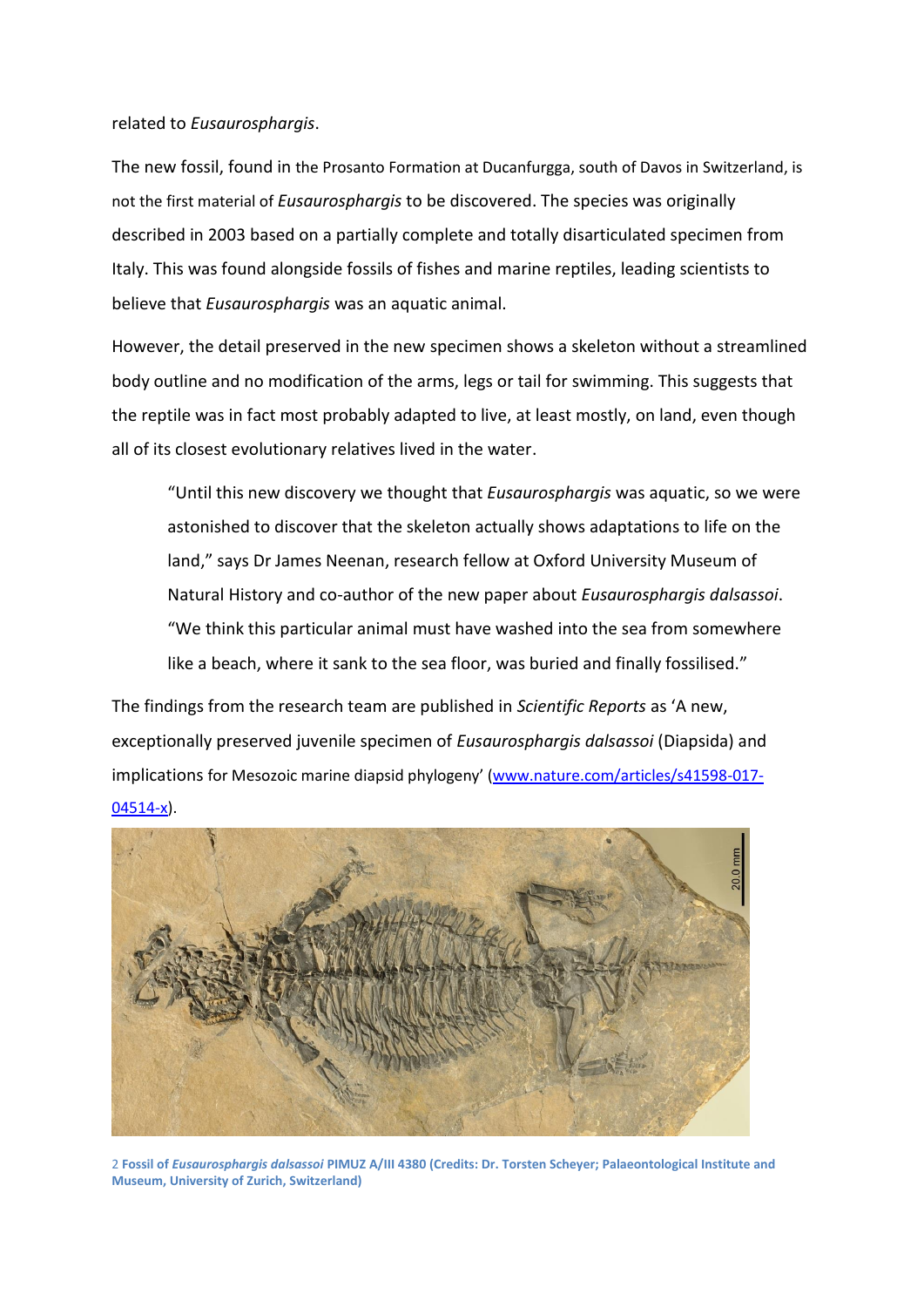### related to *Eusaurosphargis*.

The new fossil, found in the Prosanto Formation at Ducanfurgga, south of Davos in Switzerland, is not the first material of *Eusaurosphargis* to be discovered. The species was originally described in 2003 based on a partially complete and totally disarticulated specimen from Italy. This was found alongside fossils of fishes and marine reptiles, leading scientists to believe that *Eusaurosphargis* was an aquatic animal.

However, the detail preserved in the new specimen shows a skeleton without a streamlined body outline and no modification of the arms, legs or tail for swimming. This suggests that the reptile was in fact most probably adapted to live, at least mostly, on land, even though all of its closest evolutionary relatives lived in the water.

"Until this new discovery we thought that *Eusaurosphargis* was aquatic, so we were astonished to discover that the skeleton actually shows adaptations to life on the land," says Dr James Neenan, research fellow at Oxford University Museum of Natural History and co-author of the new paper about *Eusaurosphargis dalsassoi*. "We think this particular animal must have washed into the sea from somewhere like a beach, where it sank to the sea floor, was buried and finally fossilised."

The findings from the research team are published in *Scientific Reports* as 'A new, exceptionally preserved juvenile specimen of *Eusaurosphargis dalsassoi* (Diapsida) and implications for Mesozoic marine diapsid phylogeny' [\(www.nature.com/articles/s41598-017-](http://www.nature.com/articles/s41598-017-04514-x) [04514-x\)](http://www.nature.com/articles/s41598-017-04514-x).



2 **Fossil of** *Eusaurosphargis dalsassoi* **PIMUZ A/III 4380 (Credits: Dr. Torsten Scheyer; Palaeontological Institute and Museum, University of Zurich, Switzerland)**